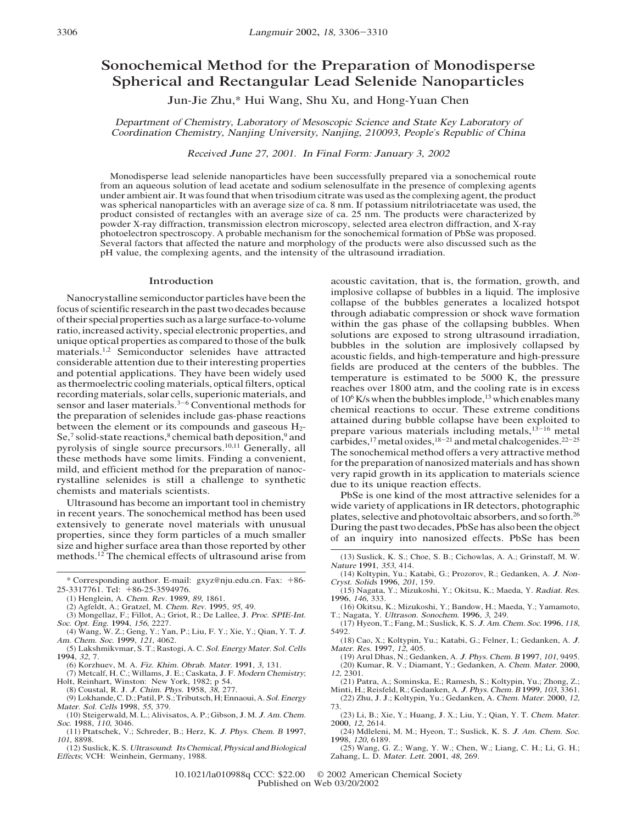# Sonochemical Method for the Preparation of Monodisperse Spherical and Rectangular Lead Selenide Nanoparticles

Jun-Jie Zhu,\* Hui Wang, Shu Xu, and Hong-Yuan Chen

Departmen<sup>t</sup> of Chemist<sup>r</sup>y, Laborato<sup>r</sup>y of Mesoscopi<sup>c</sup> Science <sup>a</sup>nd Stat<sup>e</sup> Key Laborato<sup>r</sup>y of Coordinatio<sup>n</sup> Chemist<sup>r</sup>y, Nanjing University, Nanjing, 210093, People'<sup>s</sup> Republi<sup>c</sup> of Chin<sup>a</sup>

Receiv<sup>e</sup>d Jun<sup>e</sup> 27, 2001. I<sup>n</sup> Final Form: Janua<sup>r</sup>y 3, 2002

Monodisperse lead selenide nanoparticles have been successfully prepared via a sonochemical route from an aqueous solution of lead acetate and sodium selenosulfate in the presence of complexing agents under ambient air. It was found that when trisodium citrate was used as the complexing agent, the product was spherical nanoparticles with an average size of ca. 8 nm. If potassium nitrilotriacetate was used, the product consisted of rectangles with an average size of ca. 25 nm. The products were characterized by powder X-ray diffraction, transmission electron microscopy, selected area electron diffraction, and X-ray photoelectron spectroscopy. A probable mechanism for the sonochemical formation of PbSe was proposed. Several factors that affected the nature and morphology of the products were also discussed such as the pH value, the complexing agents, and the intensity of the ultrasound irradiation.

#### Introduction

Nanocrystalline semiconductor particles have been the focus of scientific research in the past two decades because of their special properties such as a large surface-to-volume ratio, increased activity, special electronic properties, and unique optical properties as compared to those of the bulk materials.<sup>1,2</sup> Semiconductor selenides have attracted considerable attention due to their interesting properties and potential applications. They have been widely used as thermoelectric cooling materials, optical filters, optical recording materials, solar cells, superionic materials, and sensor and laser materials.<sup>3-6</sup> Conventional methods for the preparation of selenides include gas-phase reactions between the element or its compounds and gaseous H<sub>2</sub>-Se,<sup>7</sup> solid-state reactions, $8$  chemical bath deposition, $9$  and pyrolysis of single source precursors.<sup>10,11</sup> Generally, all these methods have some limits. Finding a convenient, mild, and efficient method for the preparation of nanocrystalline selenides is still a challenge to synthetic chemists and materials scientists.

Ultrasound has become an important tool in chemistry in recent years. The sonochemical method has been used extensively to generate novel materials with unusual properties, since they form particles of a much smaller size and higher surface area than those reported by other methods.12 The chemical effects of ultrasound arise from

- (2) Agfeldt, A.; Gratzel, M. <sup>C</sup>hem. <sup>R</sup>ev. 1995, 95, 49.
- (3) Mongellaz, F.; Fillot, A.; Griot, R.; De Lallee, J. <sup>P</sup>roc. SPIE-Int. <sup>S</sup>oc. <sup>O</sup>pt. <sup>E</sup>ng. 1994, <sup>156</sup>, 2227.
- (4) Wang, W. Z.; Geng, Y.; Yan, P.; Liu, F. Y.; Xie, Y.; Qian, Y. T. <sup>J</sup>. <sup>A</sup><sup>m</sup>. <sup>C</sup>hem. <sup>S</sup>oc. 1999, <sup>121</sup>, 4062.
- (5) Lakshmikvmar, S. T.; Rastogi, A. C. <sup>S</sup>ol. <sup>E</sup>nergyMater. <sup>S</sup>ol. <sup>C</sup>ells 1994, <sup>32</sup>, 7.
- 
- (6) Korzhuev, M. A. Fi<sup>z</sup>. <sup>K</sup>hi<sup>m</sup>. <sup>O</sup>brab. Mater. 1991, <sup>3</sup>, 131. (7) Metcalf, H. C.; Willams, J. E.; Caskata, J. F. <sup>M</sup>oder<sup>n</sup> <sup>C</sup>hemistry; Holt, Reinhart, Winston: New York, 1982; p 54.
- (8) <sup>C</sup>oustal, R. J. <sup>J</sup>. <sup>C</sup>hi<sup>m</sup>. Phys. 1958, <sup>38</sup>, 277.
- (9) <sup>L</sup>okhande, C. D.; Patil, P. S.; Tributsch, H; Ennaoui, A. <sup>S</sup>ol. <sup>E</sup>nerg<sup>y</sup> Mater. <sup>S</sup>ol. <sup>C</sup>ells 1998, 55, 379.
- (10) Steigerwald, M. L.; Alivisatos, A. P.; Gibson, J. M. <sup>J</sup>. <sup>A</sup><sup>m</sup>. <sup>C</sup>hem. <sup>S</sup>oc. 1988, <sup>110</sup>, 3046.
- (11) Ptatschek, V.; Schreder, B.; Herz, K. <sup>J</sup>. Phys. <sup>C</sup>hem. <sup>B</sup> 1997, 101, 8898.
- (12) Suslick, K. S. Ultrasound: It<sup>s</sup> <sup>C</sup>hemical, Physica<sup>l</sup> <sup>a</sup>nd <sup>B</sup>iologica<sup>l</sup> <sup>E</sup>ffects; VCH: Weinhein, Germany, 1988.

acoustic cavitation, that is, the formation, growth, and implosive collapse of bubbles in a liquid. The implosive collapse of the bubbles generates a localized hotspot through adiabatic compression or shock wave formation within the gas phase of the collapsing bubbles. When solutions are exposed to strong ultrasound irradiation, bubbles in the solution are implosively collapsed by acoustic fields, and high-temperature and high-pressure fields are produced at the centers of the bubbles. The temperature is estimated to be 5000 K, the pressure reaches over 1800 atm, and the cooling rate is in excess of  $10^6$  K/s when the bubbles implode,<sup>13</sup> which enables many chemical reactions to occur. These extreme conditions attained during bubble collapse have been exploited to prepare various materials including metals, $13-16$  metal carbides,<sup>17</sup> metal oxides,<sup>18-21</sup> and metal chalcogenides.<sup>22-25</sup> The sonochemical method offers a very attractive method for the preparation of nanosized materials and has shown very rapid growth in its application to materials science due to its unique reaction effects.

PbSe is one kind of the most attractive selenides for a wide variety of applications in IR detectors, photographic plates, selective and photovoltaicabsorbers, and so forth.26 During the past two decades, PbSe has also been the object of an inquiry into nanosized effects. PbSe has been

- (14) Koltypin, Yu.; Katabi, G.; Prozorov, R.; Gedanken, A. <sup>J</sup>. <sup>N</sup>on-Cryst. <sup>S</sup>olids 1996, <sup>201</sup>, 159.
- (15) Nagata, Y.; Mizukoshi, Y.; Okitsu, K.; Maeda, Y. <sup>R</sup>adiat. <sup>R</sup>es. 1996, <sup>146</sup>, 333.
- (16) Okitsu, K.; Mizukoshi, Y.; Bandow, H.; Maeda, Y.; Yamamoto, T.; Nagata, Y. Ultrason. <sup>S</sup>onochem. 1996, <sup>3</sup>, 249. (17) Hyeon, T.; Fang, M.; Suslick, K. S. <sup>J</sup>. <sup>A</sup><sup>m</sup>. <sup>C</sup>hem. <sup>S</sup>oc. 1996, <sup>118</sup>,
- 5492.
- (18) Cao, X.; Koltypin, Yu.; Katabi, G.; Felner, I.; Gedanken, A. <sup>J</sup>. Mater. <sup>R</sup>es. 1997, <sup>12</sup>, 405.
- (19) Arul Dhas, N.; Gedanken, A. <sup>J</sup>. Phys. <sup>C</sup>hem. <sup>B</sup> 1997, <sup>101</sup>, 9495. (20) Kumar, R. V.; Diamant, Y.; Gedanken, A. <sup>C</sup>hem. Mater. 2000, 12, 2301.
- (21) Patra, A.; Sominska, E.; Ramesh, S.; Koltypin, Yu.; Zhong, Z.;
- Minti, H.; Reisfeld, R.; Gedanken, A. <sup>J</sup>. Phys. <sup>C</sup>hem. <sup>B</sup> 1999, <sup>103</sup>, 3361. (22) Zhu, J. J.; Koltypin, Yu.; Gedanken, A. <sup>C</sup>hem. Mater. 2000, <sup>12</sup>, 73.
- (23) Li, B.; Xie, Y.; Huang, J. X.; Liu, Y.; Qian, Y. T. <sup>C</sup>hem. Mater. 2000, <sup>12</sup>, 2614.
- (24) Mdleleni, M. M.; Hyeon, T.; Suslick, K. S. <sup>J</sup>. <sup>A</sup><sup>m</sup>. <sup>C</sup>hem. <sup>S</sup>oc. 1998, <sup>120</sup>, 6189.
- (25) Wang, G. Z.; Wang, Y. W.; Chen, W.; Liang, C. H.; Li, G. H.; Zahang, L. D. Mater. <sup>L</sup>ett. 2001, <sup>48</sup>, 269.
- 10.1021/la010988q CCC: \$22.00 © 2002 American Chemical Society Published on Web 03/20/2002

<sup>\*</sup> <sup>C</sup>orresponding author. E-mail: gxyz@nju.edu.cn. Fax: +86- 25-3317761. Tel: +86-25-3594976.

<sup>(</sup>1) Henglein, A. <sup>C</sup>hem. <sup>R</sup>ev. 1989, <sup>89</sup>, 1861.

<sup>(</sup>13) Suslick, K. S.; Choe, S. B.; Cichowlas, A. A.; Grinstaff, M. W. <sup>N</sup>atur<sup>e</sup> 1991, 353, 414.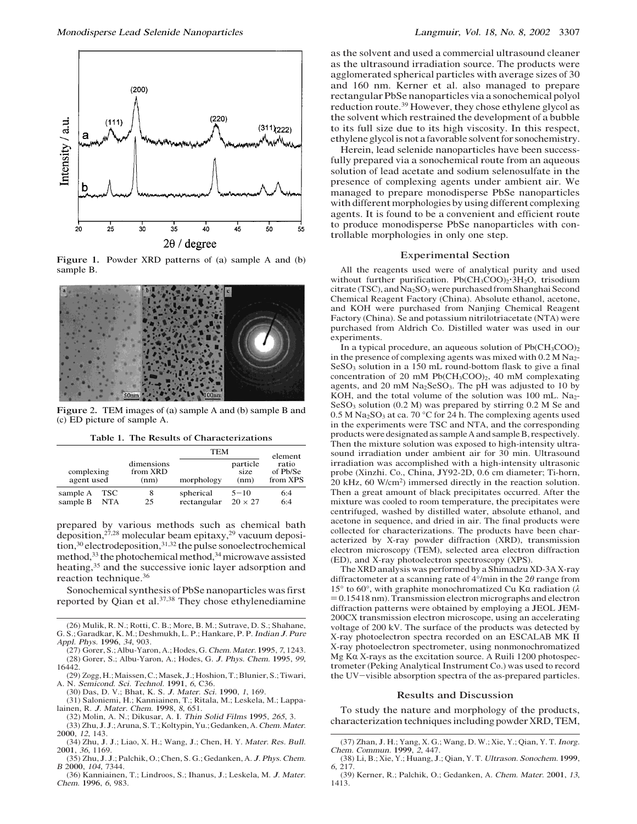

Figure 1. Powder XRD patterns of (a) sample A and (b) sample B.



Figure 2. TEM images of (a) sample A and (b) sample B and (c) ED picture of sample A.

Table 1. The Results of Characterizations

|                          |                   |                                | TEM                      |                            | element                       |
|--------------------------|-------------------|--------------------------------|--------------------------|----------------------------|-------------------------------|
| complexing<br>agent used |                   | dimensions<br>from XRD<br>(nm) | morphology               | particle<br>size<br>(nm)   | ratio<br>of Pb/Se<br>from XPS |
| sample A<br>sample B     | TSC<br><b>NTA</b> | 8<br>25                        | spherical<br>rectangular | $5 - 10$<br>$20 \times 27$ | 6:4<br>6:4                    |

prepared by various methods such as chemical bath deposition, $2^{7,28}$  molecular beam epitaxy, $2^{9}$  vacuum deposi- $\text{tion},^{30}$  electrodeposition,  $\text{data},^{31,32}$  the pulse sonoelectrochemical method,<sup>33</sup> the photochemical method,<sup>34</sup> microwave assisted heating,<sup>35</sup> and the successive ionic layer adsorption and reaction technique.36

Sonochemical synthesis of PbSe nanoparticles was first reported by Qian et al.37,38 They chose ethylenediamine

- (27) Gorer, S.; Albu-Yaron, A.; Hodes, G. <sup>C</sup>hem.Mater. 1995, <sup>7</sup>, 1243. (28) <sup>G</sup>orer, S.; Albu-Yaron, A.; Hodes, G. <sup>J</sup>. Phys. <sup>C</sup>hem. 1995, 99, 16442.
- (29) Zogg, H.;Maissen, C.;Masek, J.;Hoshion, T.; Blunier, S.; Tiwari, A. N. <sup>S</sup>emicond. <sup>S</sup>ci. <sup>T</sup>echnol. 1991, <sup>6</sup>, C36.
- (30) Das, D. V.; Bhat, K. S. <sup>J</sup>. Mater. <sup>S</sup>ci. 1990, <sup>1</sup>, 169.
- (31) Saloniemi, H.; Kanniainen, T.; Ritala, M.; Leskela, M.; Lappalainen, R. <sup>J</sup>. Mater. <sup>C</sup>hem. 1998, <sup>8</sup>, 651.
- (32) Molin, A. N.; Dikusar, A. I. <sup>T</sup>hin <sup>S</sup>olid Film<sup>s</sup> 1995, 265, 3.
- (33) Zhu, J. J.; Aruna, S. T.; Koltypin, Yu.; Gedanken, A. Chem. Mater. 2000, <sup>12</sup>, 143.
- (34) Zhu, J. J.; Liao, X. H.; Wang, J.; Chen, H. Y. Mater. <sup>R</sup>es. <sup>B</sup>ull. 2001, <sup>36</sup>, 1169.
- (35) Zhu, J. J.; Palchik, O.; Chen, S. G.; Gedanken, A. <sup>J</sup>. Phys. <sup>C</sup>hem. <sup>B</sup> 2000, <sup>104</sup>, 7344.
- (36) Kanniainen, T.; Lindroos, S.; Ihanus, J.; Leskela, M. <sup>J</sup>. Mater. <sup>C</sup>hem. 1996, <sup>6</sup>, 983.

as the solvent and used a commercial ultrasound cleaner as the ultrasound irradiation source. The products were agglomerated spherical particles with average sizes of 30 and 160 nm. Kerner et al. also managed to prepare rectangular PbSe nanoparticles via a sonochemical polyol reduction route.<sup>39</sup> However, they chose ethylene glycol as the solvent which restrained the development of a bubble to its full size due to its high viscosity. In this respect, ethylene glycol is nota favorable solvent for sonochemistry.

Herein, lead selenide nanoparticles have been successfully prepared via a sonochemical route from an aqueous solution of lead acetate and sodium selenosulfate in the presence of complexing agents under ambient air. We managed to prepare monodisperse PbSe nanoparticles with different morphologies by using different complexing agents. It is found to be a convenient and efficient route to produce monodisperse PbSe nanoparticles with controllable morphologies in only one step.

#### Experimental Section

All the reagents used were of analytical purity and used without further purification. Pb(CH<sub>3</sub>COO)<sub>2</sub>·3H<sub>2</sub>O, trisodium citrate (TSC), and Na<sub>2</sub>SO<sub>3</sub> were purchased from Shanghai Second Chemical Reagent Factory (China). Absolute ethanol, acetone, and KOH were purchased from Nanjing Chemical Reagent Factory (China). Se and potassium nitrilotriacetate (NTA) were purchased from Aldrich Co. Distilled water was used in our experiments.

In a typical procedure, an aqueous solution of Pb(CH3COO)<sup>2</sup> in the presence of complexing agents was mixed with  $0.2 M Na<sub>2</sub>$ - $SeSO<sub>3</sub>$  solution in a 150 mL round-bottom flask to give a final concentration of 20 mM  $Pb(CH_3COO)_2$ , 40 mM complexating agents, and 20 mM  $Na<sub>2</sub>SeSO<sub>3</sub>$ . The pH was adjusted to 10 by KOH, and the total volume of the solution was 100 mL. Na<sub>2</sub>- $SeSO<sub>3</sub>$  solution (0.2 M) was prepared by stirring 0.2 M Se and  $0.5$  M Na<sub>2</sub>SO<sub>3</sub> at ca. 70 °C for 24 h. The complexing agents used in the experiments were TSC and NTA, and the corresponding products were designated as sample Aand sample B, respectively. Then the mixture solution was exposed to high-intensity ultrasound irradiation under ambient air for 30 min. Ultrasound irradiation was accomplished with a high-intensity ultrasonic probe (Xinzhi. Co., China, JY92-2D, 0.6 cm diameter; Ti-horn, 20 kHz, 60 W/cm2) immersed directly in the reaction solution. Then a great amount of black precipitates occurred. After the mixture was cooled to room temperature, the precipitates were centrifuged, washed by distilled water, absolute ethanol, and acetone in sequence, and dried in air. The final products were collected for characterizations. The products have been characterized by X-ray powder diffraction (XRD), transmission electron microscopy (TEM), selected area electron diffraction (ED), and X-ray photoelectron spectroscopy (XPS).

The XRD analysis was performed by a Shimadzu XD-3A X-ray diffractometer at a scanning rate of  $4^{\circ}/$ min in the  $2\theta$  range from  $15°$  to 60°, with graphite monochromatized Cu Kα radiation (λ  $= 0.15418$  nm). Transmission electron micrographs and electron diffraction patterns were obtained by employing a JEOL JEM-200CX transmission electron microscope, using an accelerating voltage of 200 kV. The surface of the products was detected by X-ray photoelectron spectra recorded on an ESCALAB MK II X-ray photoelectron spectrometer, using nonmonochromatized Mg K $\alpha$  X-rays as the excitation source. A Ruili 1200 photospectrometer (Peking Analytical Instrument Co.) was used to record the UV-visible absorption spectra of the as-prepared particles.

#### Results and Discussion

To study the nature and morphology of the products, characterization techniques including powder XRD, TEM,

<sup>(</sup>26) Mulik, R. N.; Rotti, C. B.; More, B. M.; Sutrave, D. S.; Shahane, G. S.; Garadkar, K. M.; Deshmukh, L. P.; Hankare, P. P. <sup>I</sup>ndia<sup>n</sup> <sup>J</sup>. Pur<sup>e</sup> <sup>A</sup>ppl. Phys. 1996, <sup>34</sup>, 903.

<sup>(</sup>37) Zhan, J. H.; Yang, X. G.; Wang, D. W.; Xie, Y.; Qian, Y. T. <sup>I</sup>norg. <sup>C</sup>hem. <sup>C</sup>ommun. 1999, <sup>2</sup>, 447.

<sup>(</sup>38) Li, B.; Xie, Y.; Huang, J.; Qian, Y. T. Ultrason. <sup>S</sup>onochem. 1999, 6, 217.

<sup>(</sup>39) Kerner, R.; Palchik, O.; Gedanken, A. <sup>C</sup>hem. Mater. 2001, <sup>13</sup>, 1413.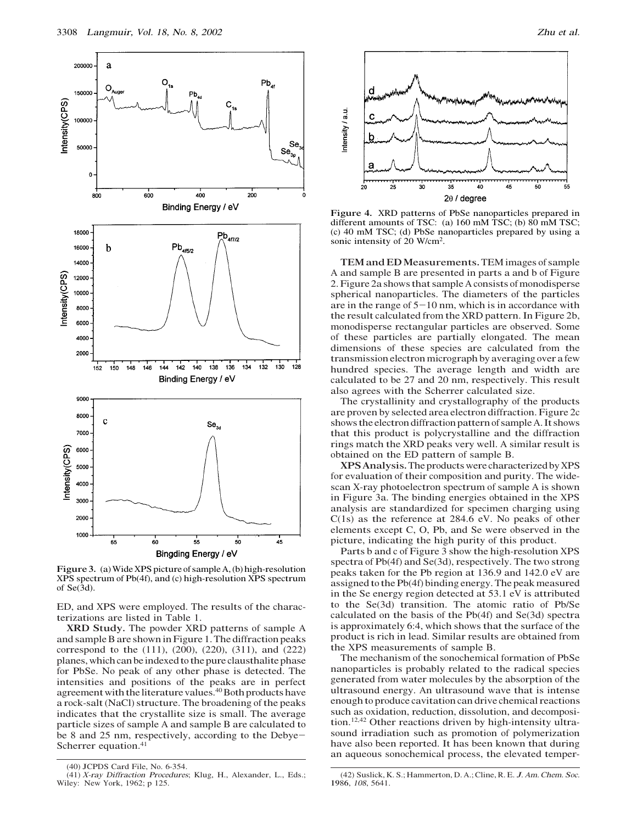



Figure 4. XRD patterns of PbSe nanoparticles prepared in different amounts of TSC: (a) 160 mM TSC; (b) 80 mM TSC; (c) 40 mM TSC; (d) PbSe nanoparticles prepared by using a sonic intensity of 20 W/cm2.

TEM and ED Measurements. TEM images of sample A and sample B are presented in parts a and b of Figure 2. Figure 2a shows that sample A consists of monodisperse spherical nanoparticles. The diameters of the particles are in the range of  $5-10$  nm, which is in accordance with the result calculated from the XRD pattern. In Figure 2b, monodisperse rectangular particles are observed. Some of these particles are partially elongated. The mean dimensions of these species are calculated from the transmission electron micrograph by averaging over a few hundred species. The average length and width are calculated to be 27 and 20 nm, respectively. This result also agrees with the Scherrer calculated size.

The crystallinity and crystallography of the products are proven by selected area electron diffraction. Figure 2c shows the electron diffraction pattern of sample A. It shows that this product is polycrystalline and the diffraction rings match the XRD peaks very well. A similar result is obtained on the ED pattern of sample B.

XPSAnalysis. The products were characterized by XPS for evaluation of their composition and purity. The widescan X-ray photoelectron spectrum of sample A is shown in Figure 3a. The binding energies obtained in the XPS analysis are standardized for specimen charging using C(1s) as the reference at 284.6 eV. No peaks of other elements except C, O, Pb, and Se were observed in the picture, indicating the high purity of this product.

Parts b and c of Figure 3 show the high-resolution XPS spectra of Pb(4f) and Se(3d), respectively. The two strong peaks taken for the Pb region at 136.9 and 142.0 eV are assigned to the Pb(4f) binding energy. The peak measured in the Se energy region detected at 53.1 eV is attributed to the Se(3d) transition. The atomic ratio of Pb/Se calculated on the basis of the Pb(4f) and Se(3d) spectra is approximately 6:4, which shows that the surface of the product is rich in lead. Similar results are obtained from the XPS measurements of sample B.

The mechanism of the sonochemical formation of PbSe nanoparticles is probably related to the radical species generated from water molecules by the absorption of the ultrasound energy. An ultrasound wave that is intense enough to produce cavitation can drive chemical reactions such as oxidation, reduction, dissolution, and decomposition.12,42 Other reactions driven by high-intensity ultrasound irradiation such as promotion of polymerization have also been reported. It has been known that during an aqueous sonochemical process, the elevated temper-

ED, and XPS were employed. The results of the characterizations are listed in Table 1.

XRD Study. The powder XRD patterns of sample A and sample B are shown in Figure 1. The diffraction peaks correspond to the (111), (200), (220), (311), and (222) planes, which can be indexed to the pure clausthalite phase for PbSe. No peak of any other phase is detected. The intensities and positions of the peaks are in perfect agreement with the literature values.<sup>40</sup> Both products have a rock-salt (NaCl) structure. The broadening of the peaks indicates that the crystallite size is small. The average particle sizes of sample A and sample B are calculated to be 8 and 25 nm, respectively, according to the Debye-Scherrer equation.<sup>41</sup>

Figure 3. (a)Wide XPS picture of sample A, (b) high-resolution XPS spectrum of Pb(4f), and (c) high-resolution XPS spectrum of  $Se(3d)$ .

<sup>(</sup>40) JCPDS Card File, No. 6-354.

<sup>(</sup>41) <sup>X</sup>-ra<sup>y</sup> <sup>D</sup>iffractio<sup>n</sup> <sup>P</sup>rocedures; Klug, H., Alexander, L., Eds.; Wiley: New York, 1962; p 125.

<sup>(</sup>42) Suslick, K. S.; Hammerton, D. A.; Cline, R. E. <sup>J</sup>. <sup>A</sup><sup>m</sup>. <sup>C</sup>hem. <sup>S</sup>oc. 1986, <sup>108</sup>, 5641.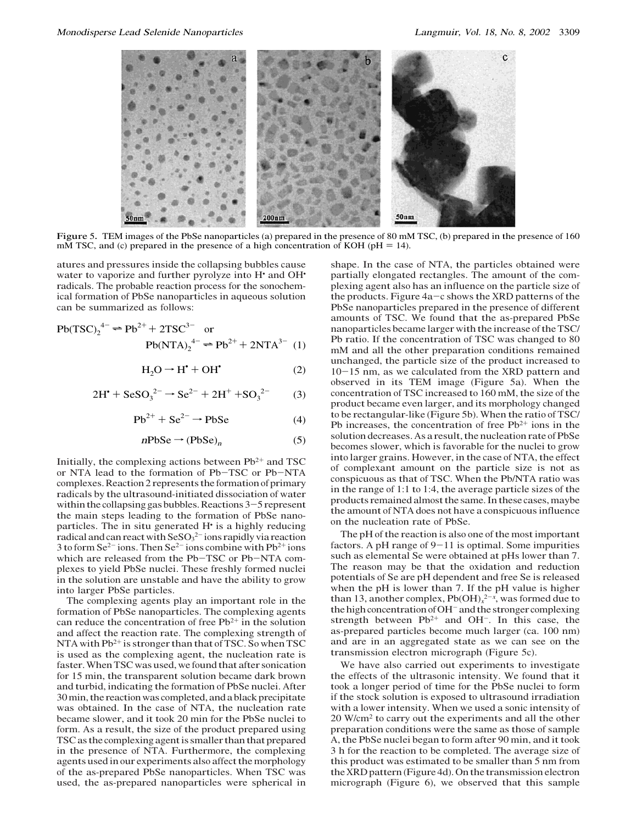

Figure 5. TEM images of the PbSe nanoparticles (a) prepared in the presence of 80 mM TSC, (b) prepared in the presence of 160 mM TSC, and (c) prepared in the presence of a high concentration of KOH ( $pH = 14$ ).

atures and pressures inside the collapsing bubbles cause water to vaporize and further pyrolyze into H<sup>\*</sup> and OH<sup>\*</sup> radicals. The probable reaction process for the sonochemical formation of PbSe nanoparticles in aqueous solution can be summarized as follows:

$$
Pb(TSC)_2^{4-} \rightleftharpoons Pb^{2+} + 2TSC^{3-} \text{ or}
$$
  
\n
$$
Pb(NTA)_2^{4-} \rightleftharpoons Pb^{2+} + 2NTA^{3-} (1)
$$

$$
H_2O \to H^{\bullet} + OH^{\bullet} \tag{2}
$$

$$
2H^{\bullet} + \text{SeSO}_3^{2-} \rightarrow \text{Se}^{2-} + 2H^+ + \text{SO}_3^{2-} \tag{3}
$$

$$
Pb^{2+} + Se^{2-} \rightarrow PbSe
$$
 (4)

$$
n\text{PbSe} \rightarrow (\text{PbSe})_n \tag{5}
$$

Initially, the complexing actions between  $Pb^{2+}$  and TSC or NTA lead to the formation of Pb-TSC or Pb-NTA complexes. Reaction 2 represents the formation of primary radicals by the ultrasound-initiated dissociation of water within the collapsing gas bubbles. Reactions 3-5 represent the main steps leading to the formation of PbSe nanoparticles. The in situ generated H• is a highly reducing radical and can react with  $\text{SeSO}_3^{2-}$  ions rapidly via reaction 3 to form  $\text{Se}^{2-}$  ions. Then  $\text{Se}^{2-}$  ions combine with  $\text{Pb}^{2+}$  ions which are released from the Pb-TSC or Pb-NTA complexes to yield PbSe nuclei. These freshly formed nuclei in the solution are unstable and have the ability to grow into larger PbSe particles.

The complexing agents play an important role in the formation of PbSe nanoparticles. The complexing agents can reduce the concentration of free  $Pb^{2+}$  in the solution and affect the reaction rate. The complexing strength of NTA with  $Pb^{2+}$  is stronger than that of TSC. So when TSC is used as the complexing agent, the nucleation rate is faster.When TSC was used, we found that after sonication for 15 min, the transparent solution became dark brown and turbid, indicating the formation of PbSe nuclei. After 30min, the reaction was completed, and a black precipitate was obtained. In the case of NTA, the nucleation rate became slower, and it took 20 min for the PbSe nuclei to form. As a result, the size of the product prepared using TSC as the complexing agent is smaller than that prepared in the presence of NTA. Furthermore, the complexing agents used in our experiments also affect the morphology of the as-prepared PbSe nanoparticles. When TSC was used, the as-prepared nanoparticles were spherical in

shape. In the case of NTA, the particles obtained were partially elongated rectangles. The amount of the complexing agent also has an influence on the particle size of the products. Figure 4a-c shows the XRD patterns of the PbSe nanoparticles prepared in the presence of different amounts of TSC. We found that the as-prepared PbSe nanoparticles became larger with the increase of the TSC/ Pb ratio. If the concentration of TSC was changed to 80 mM and all the other preparation conditions remained unchanged, the particle size of the product increased to 10-15 nm, as we calculated from the XRD pattern and observed in its TEM image (Figure 5a). When the concentration of TSC increased to 160 mM, the size of the product became even larger, and its morphology changed to be rectangular-like (Figure 5b). When the ratio of TSC/ Pb increases, the concentration of free  $Pb^{2+}$  ions in the solution decreases. As a result, the nucleation rate of PbSe becomes slower, which is favorable for the nuclei to grow into larger grains. However, in the case of NTA, the effect of complexant amount on the particle size is not as conspicuous as that of TSC. When the Pb/NTA ratio was in the range of 1:1 to 1:4, the average particle sizes of the products remained almost the same. In these cases, maybe the amount of NTA does not have a conspicuous influence on the nucleation rate of PbSe.

The pH of the reaction is also one of the most important factors. A pH range of  $9-11$  is optimal. Some impurities such as elemental Se were obtained at pHs lower than 7. The reason may be that the oxidation and reduction potentials of Se are pH dependent and free Se is released when the pH is lower than 7. If the pH value is higher than 13, another complex,  $Pb(OH)<sub>x</sub><sup>2-x</sup>$ , was formed due to the high concentration of OH<sup>-</sup> and the stronger complexing strength between  $Pb^{2+}$  and OH<sup>-</sup>. In this case, the as-prepared particles become much larger (ca. 100 nm) and are in an aggregated state as we can see on the transmission electron micrograph (Figure 5c).

We have also carried out experiments to investigate the effects of the ultrasonic intensity. We found that it took a longer period of time for the PbSe nuclei to form if the stock solution is exposed to ultrasound irradiation with a lower intensity. When we used a sonic intensity of 20 W/cm<sup>2</sup> to carry out the experiments and all the other preparation conditions were the same as those of sample A, the PbSe nuclei began to form after 90 min, and it took 3 h for the reaction to be completed. The average size of this product was estimated to be smaller than 5 nm from the XRD pattern (Figure 4d). On the transmission electron micrograph (Figure 6), we observed that this sample